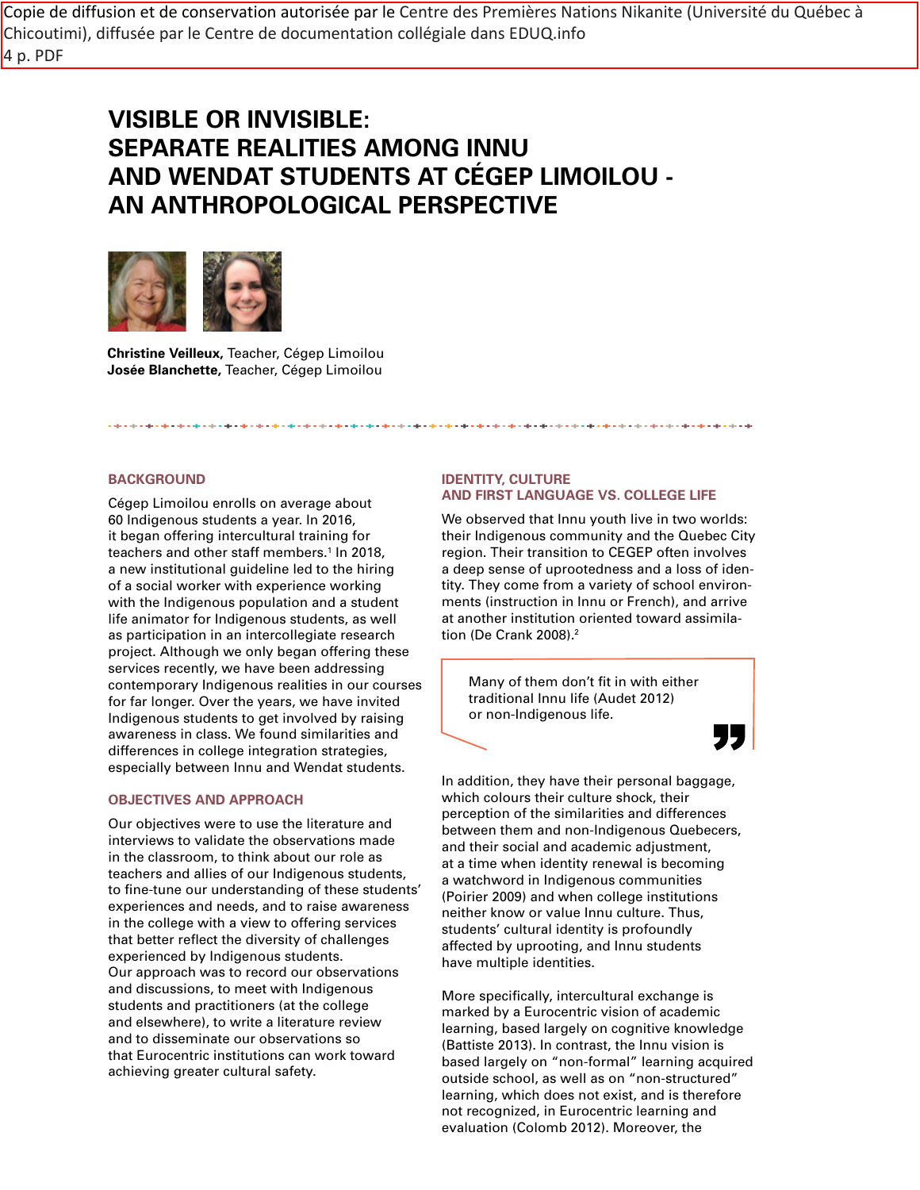Copie de diffusion et de conservation autorisée par le Centre des Premières Nations Nikanite (Université du Québec à Chicoutimi), diffusée par le Centre de documentation collégiale dans EDUQ.info 4 p. PDF

# **VISIBLE OR INVISIBLE: SEPARATE REALITIES AMONG INNU AND WENDAT STUDENTS AT CÉGEP LIMOILOU - AN ANTHROPOLOGICAL PERSPECTIVE**



**Christine Veilleux,** Teacher, Cégep Limoilou **Josée Blanchette,** Teacher, Cégep Limoilou

# **BACKGROUND**

Cégep Limoilou enrolls on average about 60 Indigenous students a year. In 2016, it began offering intercultural training for teachers and other staff members.1 In 2018, a new institutional guideline led to the hiring of a social worker with experience working with the Indigenous population and a student life animator for Indigenous students, as well as participation in an intercollegiate research project. Although we only began offering these services recently, we have been addressing contemporary Indigenous realities in our courses for far longer. Over the years, we have invited Indigenous students to get involved by raising awareness in class. We found similarities and differences in college integration strategies, especially between Innu and Wendat students.

#### **OBJECTIVES AND APPROACH**

Our objectives were to use the literature and interviews to validate the observations made in the classroom, to think about our role as teachers and allies of our Indigenous students, to fine-tune our understanding of these students' experiences and needs, and to raise awareness in the college with a view to offering services that better reflect the diversity of challenges experienced by Indigenous students. Our approach was to record our observations and discussions, to meet with Indigenous students and practitioners (at the college and elsewhere), to write a literature review and to disseminate our observations so that Eurocentric institutions can work toward achieving greater cultural safety.

## **IDENTITY, CULTURE AND FIRST LANGUAGE VS. COLLEGE LIFE**

We observed that Innu youth live in two worlds: their Indigenous community and the Quebec City region. Their transition to CEGEP often involves a deep sense of uprootedness and a loss of identity. They come from a variety of school environments (instruction in Innu or French), and arrive at another institution oriented toward assimilation (De Crank 2008).2

Many of them don't fit in with either traditional Innu life (Audet 2012) or non-Indigenous life.

77

In addition, they have their personal baggage, which colours their culture shock, their perception of the similarities and differences between them and non-Indigenous Quebecers, and their social and academic adjustment, at a time when identity renewal is becoming a watchword in Indigenous communities (Poirier 2009) and when college institutions neither know or value Innu culture. Thus, students' cultural identity is profoundly affected by uprooting, and Innu students have multiple identities.

More specifically, intercultural exchange is marked by a Eurocentric vision of academic learning, based largely on cognitive knowledge (Battiste 2013). In contrast, the Innu vision is based largely on "non-formal" learning acquired outside school, as well as on "non-structured" learning, which does not exist, and is therefore not recognized, in Eurocentric learning and evaluation (Colomb 2012). Moreover, the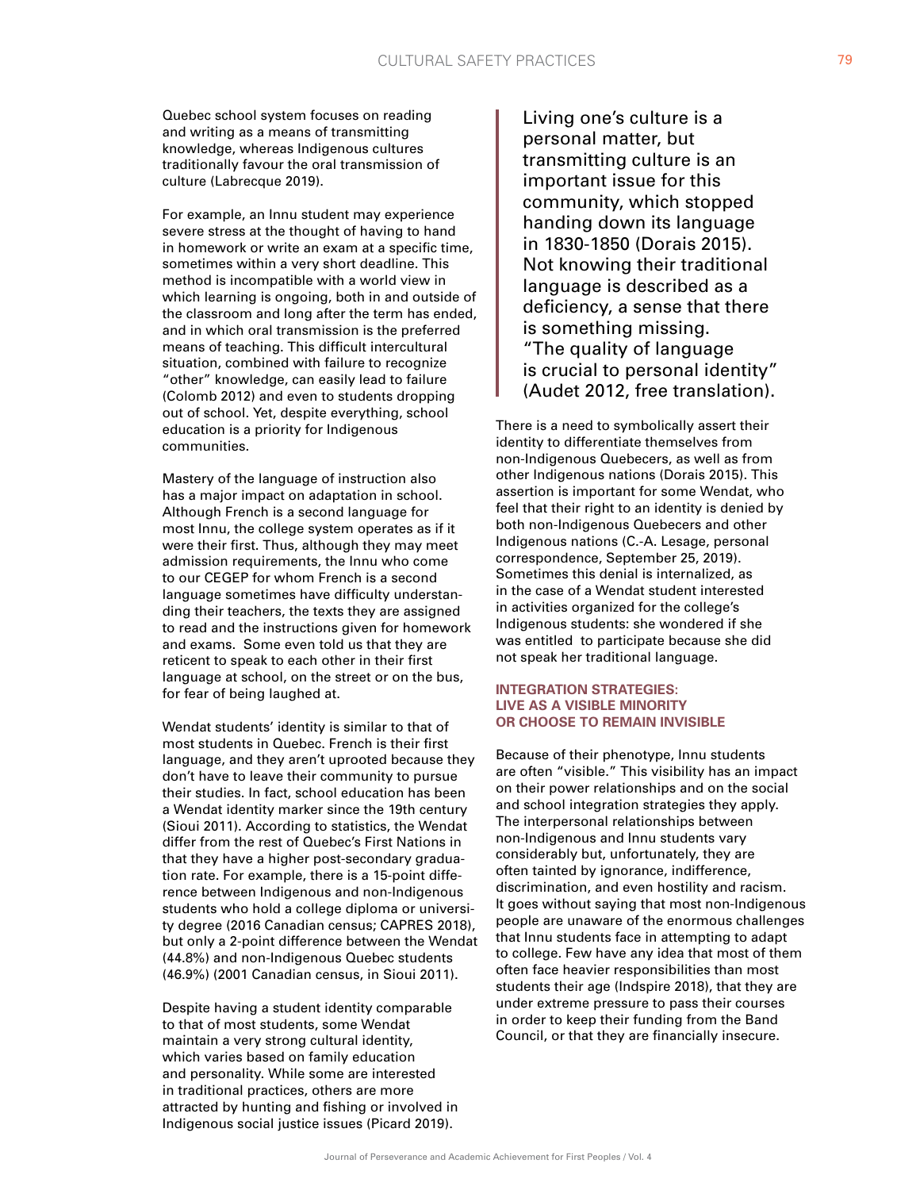Quebec school system focuses on reading and writing as a means of transmitting knowledge, whereas Indigenous cultures traditionally favour the oral transmission of culture (Labrecque 2019).

For example, an Innu student may experience severe stress at the thought of having to hand in homework or write an exam at a specific time, sometimes within a very short deadline. This method is incompatible with a world view in which learning is ongoing, both in and outside of the classroom and long after the term has ended, and in which oral transmission is the preferred means of teaching. This difficult intercultural situation, combined with failure to recognize "other" knowledge, can easily lead to failure (Colomb 2012) and even to students dropping out of school. Yet, despite everything, school education is a priority for Indigenous communities.

Mastery of the language of instruction also has a major impact on adaptation in school. Although French is a second language for most Innu, the college system operates as if it were their first. Thus, although they may meet admission requirements, the Innu who come to our CEGEP for whom French is a second language sometimes have difficulty understanding their teachers, the texts they are assigned to read and the instructions given for homework and exams. Some even told us that they are reticent to speak to each other in their first language at school, on the street or on the bus, for fear of being laughed at.

Wendat students' identity is similar to that of most students in Quebec. French is their first language, and they aren't uprooted because they don't have to leave their community to pursue their studies. In fact, school education has been a Wendat identity marker since the 19th century (Sioui 2011). According to statistics, the Wendat differ from the rest of Quebec's First Nations in that they have a higher post-secondary graduation rate. For example, there is a 15-point difference between Indigenous and non-Indigenous students who hold a college diploma or university degree (2016 Canadian census; CAPRES 2018), but only a 2-point difference between the Wendat (44.8%) and non-Indigenous Quebec students (46.9%) (2001 Canadian census, in Sioui 2011).

Despite having a student identity comparable to that of most students, some Wendat maintain a very strong cultural identity, which varies based on family education and personality. While some are interested in traditional practices, others are more attracted by hunting and fishing or involved in Indigenous social justice issues (Picard 2019).

Living one's culture is a personal matter, but transmitting culture is an important issue for this community, which stopped handing down its language in 1830-1850 (Dorais 2015). Not knowing their traditional language is described as a deficiency, a sense that there is something missing. "The quality of language is crucial to personal identity" (Audet 2012, free translation).

There is a need to symbolically assert their identity to differentiate themselves from non-Indigenous Quebecers, as well as from other Indigenous nations (Dorais 2015). This assertion is important for some Wendat, who feel that their right to an identity is denied by both non-Indigenous Quebecers and other Indigenous nations (C.-A. Lesage, personal correspondence, September 25, 2019). Sometimes this denial is internalized, as in the case of a Wendat student interested in activities organized for the college's Indigenous students: she wondered if she was entitled to participate because she did not speak her traditional language.

# **INTEGRATION STRATEGIES: LIVE AS A VISIBLE MINORITY OR CHOOSE TO REMAIN INVISIBLE**

Because of their phenotype, Innu students are often "visible." This visibility has an impact on their power relationships and on the social and school integration strategies they apply. The interpersonal relationships between non-Indigenous and Innu students vary considerably but, unfortunately, they are often tainted by ignorance, indifference, discrimination, and even hostility and racism. It goes without saying that most non-Indigenous people are unaware of the enormous challenges that Innu students face in attempting to adapt to college. Few have any idea that most of them often face heavier responsibilities than most students their age (Indspire 2018), that they are under extreme pressure to pass their courses in order to keep their funding from the Band Council, or that they are financially insecure.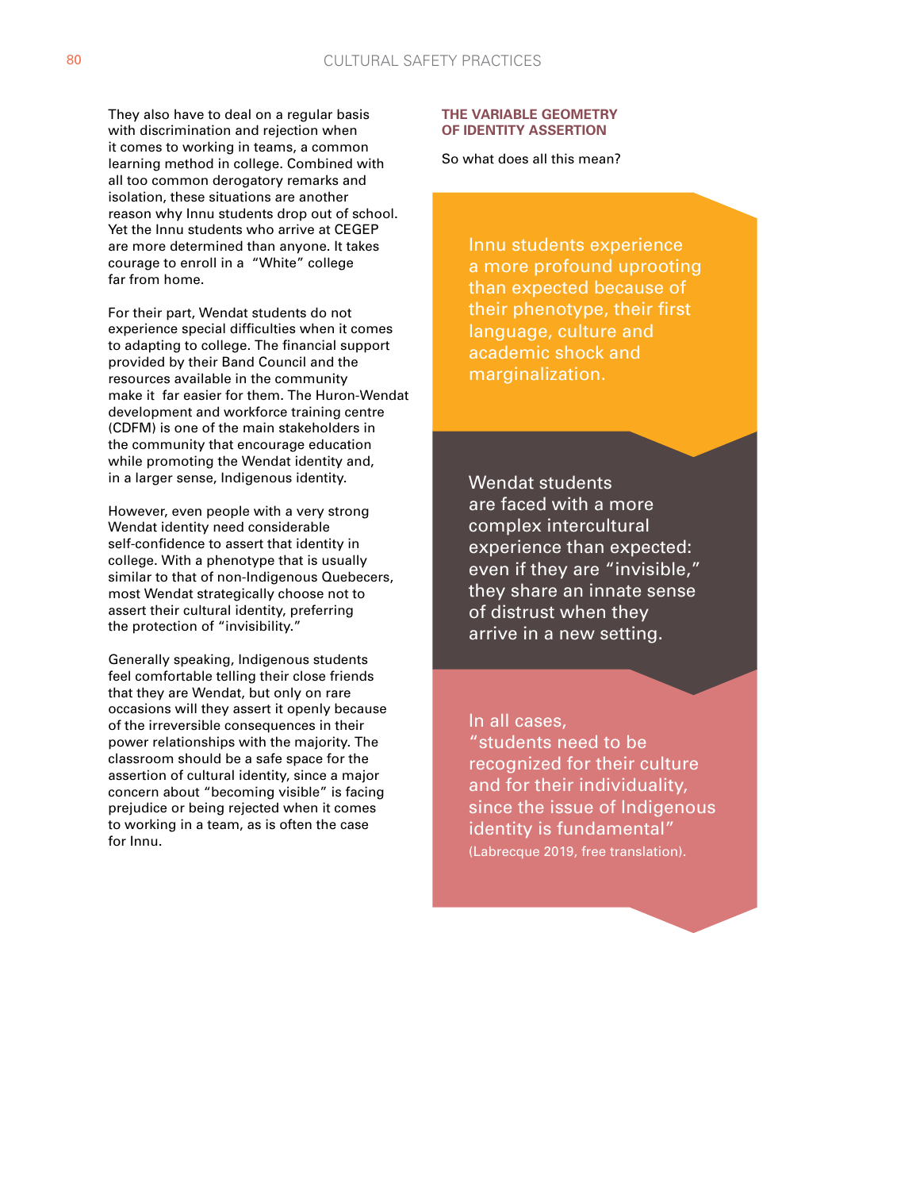They also have to deal on a regular basis with discrimination and rejection when it comes to working in teams, a common learning method in college. Combined with all too common derogatory remarks and isolation, these situations are another reason why Innu students drop out of school. Yet the Innu students who arrive at CEGEP are more determined than anyone. It takes courage to enroll in a "White" college far from home.

For their part, Wendat students do not experience special difficulties when it comes to adapting to college. The financial support provided by their Band Council and the resources available in the community make it far easier for them. The Huron-Wendat development and workforce training centre (CDFM) is one of the main stakeholders in the community that encourage education while promoting the Wendat identity and, in a larger sense, Indigenous identity.

However, even people with a very strong Wendat identity need considerable self-confidence to assert that identity in college. With a phenotype that is usually similar to that of non-Indigenous Quebecers, most Wendat strategically choose not to assert their cultural identity, preferring the protection of "invisibility."

Generally speaking, Indigenous students feel comfortable telling their close friends that they are Wendat, but only on rare occasions will they assert it openly because of the irreversible consequences in their power relationships with the majority. The classroom should be a safe space for the assertion of cultural identity, since a major concern about "becoming visible" is facing prejudice or being rejected when it comes to working in a team, as is often the case for Innu.

### **THE VARIABLE GEOMETRY OF IDENTITY ASSERTION**

So what does all this mean?

Innu students experience a more profound uprooting than expected because of their phenotype, their first language, culture and academic shock and marginalization.

Wendat students are faced with a more complex intercultural experience than expected: even if they are "invisible," they share an innate sense of distrust when they arrive in a new setting.

In all cases,

"students need to be recognized for their culture and for their individuality, since the issue of Indigenous identity is fundamental" (Labrecque 2019, free translation).